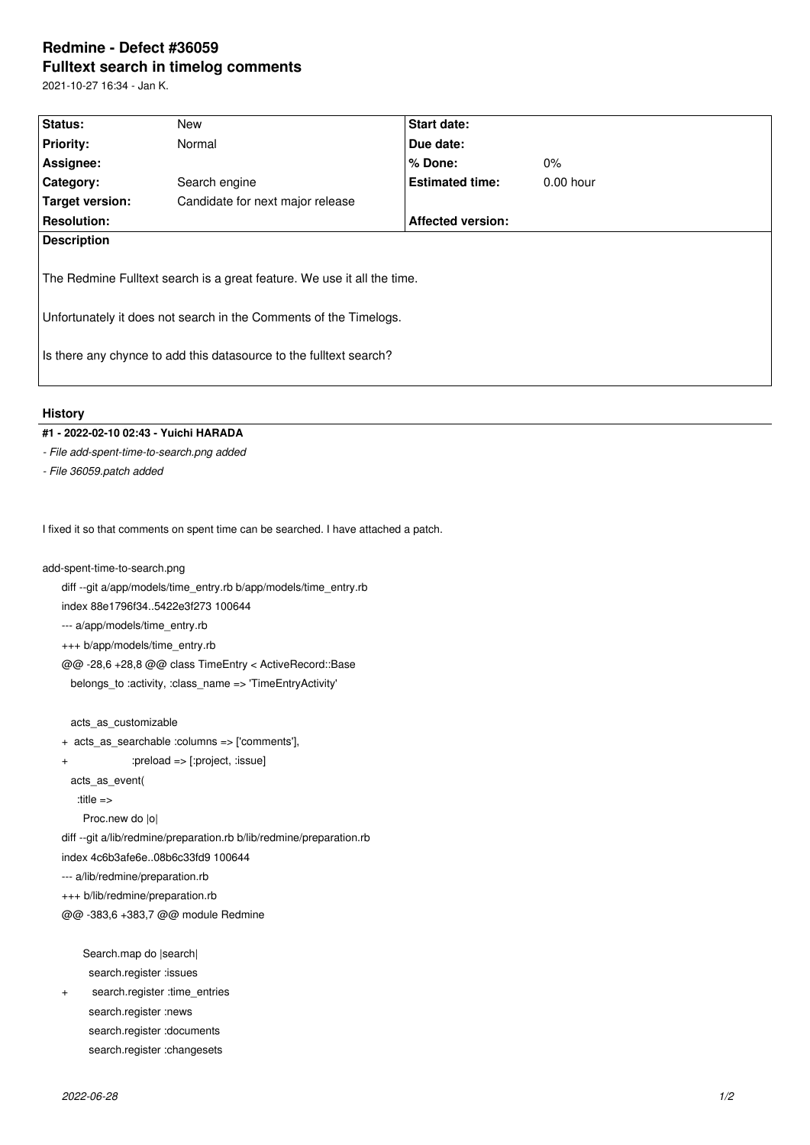## **Redmine - Defect #36059 Fulltext search in timelog comments**

2021-10-27 16:34 - Jan K.

| Status:                                                                                                                                                                                                            | New                              | Start date:              |             |  |  |
|--------------------------------------------------------------------------------------------------------------------------------------------------------------------------------------------------------------------|----------------------------------|--------------------------|-------------|--|--|
| <b>Priority:</b>                                                                                                                                                                                                   | Normal                           | Due date:                |             |  |  |
| Assignee:                                                                                                                                                                                                          |                                  | $%$ Done:                | $0\%$       |  |  |
| Category:                                                                                                                                                                                                          | Search engine                    | <b>Estimated time:</b>   | $0.00$ hour |  |  |
| <b>Target version:</b>                                                                                                                                                                                             | Candidate for next major release |                          |             |  |  |
| <b>Resolution:</b>                                                                                                                                                                                                 |                                  | <b>Affected version:</b> |             |  |  |
| <b>Description</b>                                                                                                                                                                                                 |                                  |                          |             |  |  |
| The Redmine Fulltext search is a great feature. We use it all the time.<br>Unfortunately it does not search in the Comments of the Timelogs.<br>Is there any chynce to add this datasource to the fulltext search? |                                  |                          |             |  |  |
| <b>History</b>                                                                                                                                                                                                     |                                  |                          |             |  |  |

## **#1 - 2022-02-10 02:43 - Yuichi HARADA**

*- File add-spent-time-to-search.png added*

*- File 36059.patch added*

I fixed it so that comments on spent time can be searched. I have attached a patch.

add-spent-time-to-search.png

diff --git a/app/models/time\_entry.rb b/app/models/time\_entry.rb

index 88e1796f34..5422e3f273 100644

--- a/app/models/time\_entry.rb

+++ b/app/models/time\_entry.rb

@@ -28,6 +28,8 @@ class TimeEntry < ActiveRecord::Base

belongs\_to :activity, :class\_name => 'TimeEntryActivity'

acts\_as\_customizable

+ acts\_as\_searchable :columns => ['comments'],

+ :preload => [:project, :issue]

acts\_as\_event(

:title =>

Proc.new do |o|

diff --git a/lib/redmine/preparation.rb b/lib/redmine/preparation.rb

index 4c6b3afe6e..08b6c33fd9 100644

--- a/lib/redmine/preparation.rb

+++ b/lib/redmine/preparation.rb

@@ -383,6 +383,7 @@ module Redmine

 Search.map do |search| search.register :issues

+ search.register :time\_entries

search.register :news

search.register :documents

search.register :changesets